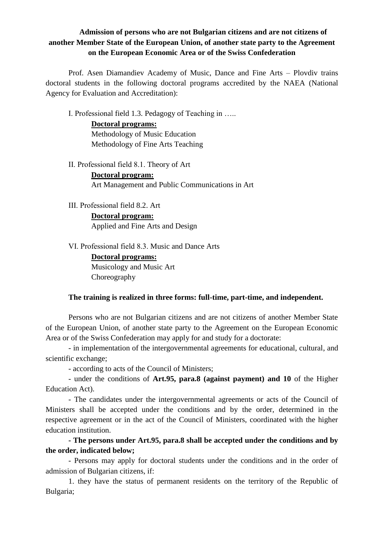# **Admission of persons who are not Bulgarian citizens and are not citizens of another Member State of the European Union, of another state party to the Agreement on the European Economic Area or of the Swiss Confederation**

Prof. Asen Diamandiev Academy of Music, Dance and Fine Arts – Plovdiv trains doctoral students in the following doctoral programs accredited by the NAEA (National Agency for Evaluation and Accreditation):

І. Professional field 1.3. Pedagogy of Teaching in …..

**Doctoral programs:** Methodology of Music Education Methodology of Fine Arts Teaching

ІІ. Professional field 8.1. Theory of Art

**Doctoral program:** Art Management and Public Communications in Art

ІІІ. Professional field 8.2. Art

**Doctoral program:** Applied and Fine Arts and Design

VІ. Professional field 8.3. Music and Dance Arts

**Doctoral programs:** Musicology and Music Art Choreography

### **The training is realized in three forms: full-time, part-time, and independent.**

Persons who are not Bulgarian citizens and are not citizens of another Member State of the European Union, of another state party to the Agreement on the European Economic Area or of the Swiss Confederation may apply for and study for a doctorate:

- in implementation of the intergovernmental agreements for educational, cultural, and scientific exchange;

- according to acts of the Council of Ministers;

- under the conditions of **Art.95, para.8 (against payment) and 10** of the Higher Education Act).

- The candidates under the intergovernmental agreements or acts of the Council of Ministers shall be accepted under the conditions and by the order, determined in the respective agreement or in the act of the Council of Ministers, coordinated with the higher education institution.

**- The persons under Art.95, para.8 shall be accepted under the conditions and by the order, indicated below;**

- Persons may apply for doctoral students under the conditions and in the order of admission of Bulgarian citizens, if:

1. they have the status of permanent residents on the territory of the Republic of Bulgaria;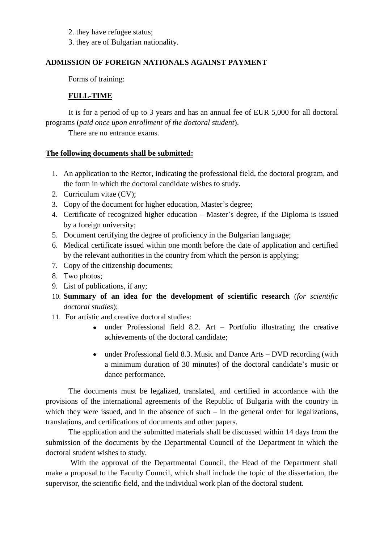- 2. they have refugee status;
- 3. they are of Bulgarian nationality.

## **ADMISSION OF FOREIGN NATIONALS AGAINST PAYMENT**

Forms of training:

# **FULL-TIME**

It is for a period of up to 3 years and has an annual fee of EUR 5,000 for all doctoral programs (*paid once upon enrollment of the doctoral student*).

There are no entrance exams.

## **The following documents shall be submitted:**

- 1. An application to the Rector, indicating the professional field, the doctoral program, and the form in which the doctoral candidate wishes to study.
- 2. Curriculum vitae (CV);
- 3. Copy of the document for higher education, Master's degree;
- 4. Certificate of recognized higher education Master's degree, if the Diploma is issued by a foreign university;
- 5. Document certifying the degree of proficiency in the Bulgarian language;
- 6. Medical certificate issued within one month before the date of application and certified by the relevant authorities in the country from which the person is applying;
- 7. Copy of the citizenship documents;
- 8. Two photos;
- 9. List of publications, if any;
- 10. **Summary of an idea for the development of scientific research** (*for scientific doctoral studies*);
- 11. For artistic and creative doctoral studies:
	- under Professional field 8.2. Art Portfolio illustrating the creative achievements of the doctoral candidate;
	- under Professional field 8.3. Music and Dance Arts DVD recording (with a minimum duration of 30 minutes) of the doctoral candidate's music or dance performance.

The documents must be legalized, translated, and certified in accordance with the provisions of the international agreements of the Republic of Bulgaria with the country in which they were issued, and in the absence of such  $-$  in the general order for legalizations, translations, and certifications of documents and other papers.

The application and the submitted materials shall be discussed within 14 days from the submission of the documents by the Departmental Council of the Department in which the doctoral student wishes to study.

With the approval of the Departmental Council, the Head of the Department shall make a proposal to the Faculty Council, which shall include the topic of the dissertation, the supervisor, the scientific field, and the individual work plan of the doctoral student.